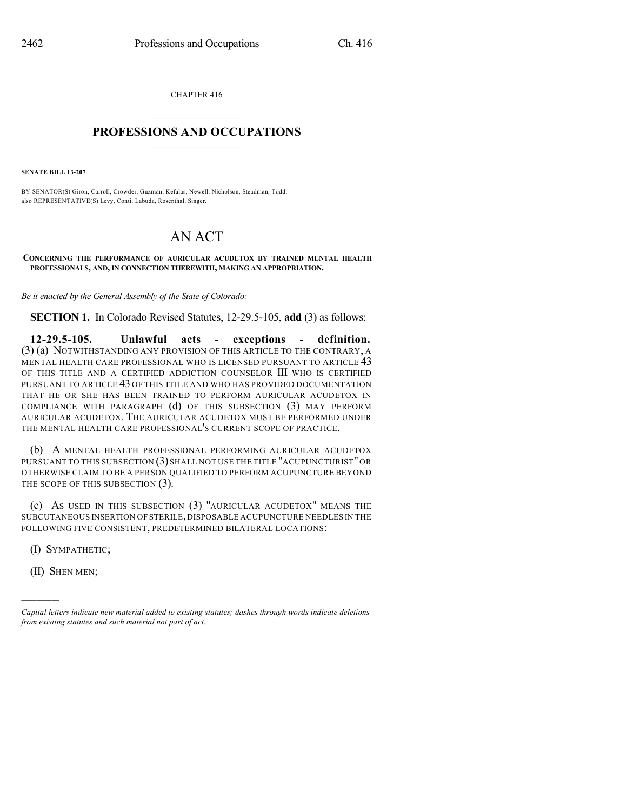CHAPTER 416

## $\overline{\phantom{a}}$  . The set of the set of the set of the set of the set of the set of the set of the set of the set of the set of the set of the set of the set of the set of the set of the set of the set of the set of the set o **PROFESSIONS AND OCCUPATIONS**  $\frac{1}{2}$  ,  $\frac{1}{2}$  ,  $\frac{1}{2}$  ,  $\frac{1}{2}$  ,  $\frac{1}{2}$  ,  $\frac{1}{2}$

**SENATE BILL 13-207**

BY SENATOR(S) Giron, Carroll, Crowder, Guzman, Kefalas, Newell, Nicholson, Steadman, Todd; also REPRESENTATIVE(S) Levy, Conti, Labuda, Rosenthal, Singer.

## AN ACT

**CONCERNING THE PERFORMANCE OF AURICULAR ACUDETOX BY TRAINED MENTAL HEALTH PROFESSIONALS, AND, IN CONNECTION THEREWITH, MAKING AN APPROPRIATION.**

*Be it enacted by the General Assembly of the State of Colorado:*

**SECTION 1.** In Colorado Revised Statutes, 12-29.5-105, **add** (3) as follows:

**12-29.5-105. Unlawful acts - exceptions - definition.** (3) (a) NOTWITHSTANDING ANY PROVISION OF THIS ARTICLE TO THE CONTRARY, A MENTAL HEALTH CARE PROFESSIONAL WHO IS LICENSED PURSUANT TO ARTICLE 43 OF THIS TITLE AND A CERTIFIED ADDICTION COUNSELOR III WHO IS CERTIFIED PURSUANT TO ARTICLE 43 OF THIS TITLE AND WHO HAS PROVIDED DOCUMENTATION THAT HE OR SHE HAS BEEN TRAINED TO PERFORM AURICULAR ACUDETOX IN COMPLIANCE WITH PARAGRAPH (d) OF THIS SUBSECTION (3) MAY PERFORM AURICULAR ACUDETOX. THE AURICULAR ACUDETOX MUST BE PERFORMED UNDER THE MENTAL HEALTH CARE PROFESSIONAL'S CURRENT SCOPE OF PRACTICE.

(b) A MENTAL HEALTH PROFESSIONAL PERFORMING AURICULAR ACUDETOX PURSUANT TO THIS SUBSECTION (3) SHALL NOT USE THE TITLE "ACUPUNCTURIST" OR OTHERWISE CLAIM TO BE A PERSON QUALIFIED TO PERFORM ACUPUNCTURE BEYOND THE SCOPE OF THIS SUBSECTION (3).

(c) AS USED IN THIS SUBSECTION (3) "AURICULAR ACUDETOX" MEANS THE SUBCUTANEOUS INSERTION OF STERILE,DISPOSABLE ACUPUNCTURE NEEDLES IN THE FOLLOWING FIVE CONSISTENT, PREDETERMINED BILATERAL LOCATIONS:

(I) SYMPATHETIC;

(II) SHEN MEN;

)))))

*Capital letters indicate new material added to existing statutes; dashes through words indicate deletions from existing statutes and such material not part of act.*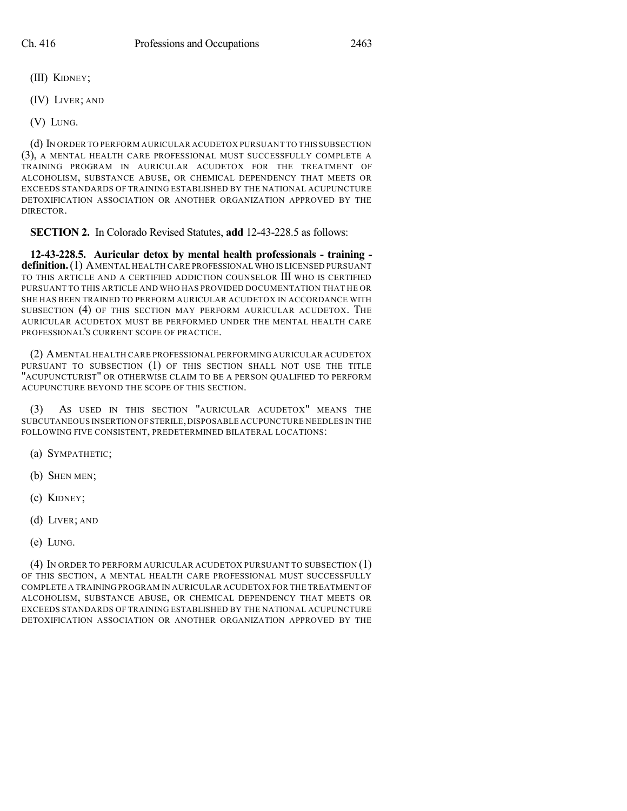- (III) KIDNEY;
- (IV) LIVER; AND
- (V) LUNG.

(d) IN ORDER TO PERFORM AURICULAR ACUDETOX PURSUANT TO THIS SUBSECTION (3), A MENTAL HEALTH CARE PROFESSIONAL MUST SUCCESSFULLY COMPLETE A TRAINING PROGRAM IN AURICULAR ACUDETOX FOR THE TREATMENT OF ALCOHOLISM, SUBSTANCE ABUSE, OR CHEMICAL DEPENDENCY THAT MEETS OR EXCEEDS STANDARDS OF TRAINING ESTABLISHED BY THE NATIONAL ACUPUNCTURE DETOXIFICATION ASSOCIATION OR ANOTHER ORGANIZATION APPROVED BY THE DIRECTOR.

**SECTION 2.** In Colorado Revised Statutes, **add** 12-43-228.5 as follows:

**12-43-228.5. Auricular detox by mental health professionals - training definition.**(1) AMENTAL HEALTH CARE PROFESSIONAL WHO IS LICENSED PURSUANT TO THIS ARTICLE AND A CERTIFIED ADDICTION COUNSELOR III WHO IS CERTIFIED PURSUANT TO THIS ARTICLE AND WHO HAS PROVIDED DOCUMENTATION THAT HE OR SHE HAS BEEN TRAINED TO PERFORM AURICULAR ACUDETOX IN ACCORDANCE WITH SUBSECTION (4) OF THIS SECTION MAY PERFORM AURICULAR ACUDETOX. THE AURICULAR ACUDETOX MUST BE PERFORMED UNDER THE MENTAL HEALTH CARE PROFESSIONAL'S CURRENT SCOPE OF PRACTICE.

(2) AMENTAL HEALTH CARE PROFESSIONAL PERFORMING AURICULAR ACUDETOX PURSUANT TO SUBSECTION (1) OF THIS SECTION SHALL NOT USE THE TITLE "ACUPUNCTURIST" OR OTHERWISE CLAIM TO BE A PERSON QUALIFIED TO PERFORM ACUPUNCTURE BEYOND THE SCOPE OF THIS SECTION.

(3) AS USED IN THIS SECTION "AURICULAR ACUDETOX" MEANS THE SUBCUTANEOUS INSERTION OF STERILE,DISPOSABLE ACUPUNCTURE NEEDLES IN THE FOLLOWING FIVE CONSISTENT, PREDETERMINED BILATERAL LOCATIONS:

- (a) SYMPATHETIC;
- (b) SHEN MEN;
- (c) KIDNEY;
- (d) LIVER; AND
- (e) LUNG.

(4) IN ORDER TO PERFORM AURICULAR ACUDETOX PURSUANT TO SUBSECTION (1) OF THIS SECTION, A MENTAL HEALTH CARE PROFESSIONAL MUST SUCCESSFULLY COMPLETE A TRAINING PROGRAM IN AURICULAR ACUDETOX FOR THE TREATMENT OF ALCOHOLISM, SUBSTANCE ABUSE, OR CHEMICAL DEPENDENCY THAT MEETS OR EXCEEDS STANDARDS OF TRAINING ESTABLISHED BY THE NATIONAL ACUPUNCTURE DETOXIFICATION ASSOCIATION OR ANOTHER ORGANIZATION APPROVED BY THE